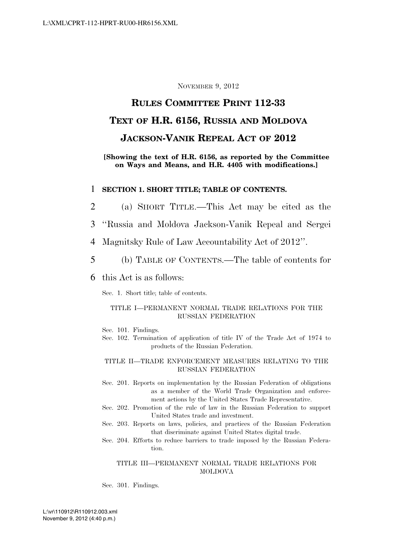#### NOVEMBER 9, 2012

## **RULES COMMITTEE PRINT 112-33 TEXT OF H.R. 6156, RUSSIA AND MOLDOVA JACKSON-VANIK REPEAL ACT OF 2012**

**[Showing the text of H.R. 6156, as reported by the Committee on Ways and Means, and H.R. 4405 with modifications.]** 

### 1 **SECTION 1. SHORT TITLE; TABLE OF CONTENTS.**

- 2 (a) SHORT TITLE.—This Act may be cited as the
- 3 ''Russia and Moldova Jackson-Vanik Repeal and Sergei
- 4 Magnitsky Rule of Law Accountability Act of 2012''.
- 5 (b) TABLE OF CONTENTS.—The table of contents for
- 6 this Act is as follows:

Sec. 1. Short title; table of contents.

#### TITLE I—PERMANENT NORMAL TRADE RELATIONS FOR THE RUSSIAN FEDERATION

Sec. 101. Findings.

Sec. 102. Termination of application of title IV of the Trade Act of 1974 to products of the Russian Federation.

#### TITLE II—TRADE ENFORCEMENT MEASURES RELATING TO THE RUSSIAN FEDERATION

- Sec. 201. Reports on implementation by the Russian Federation of obligations as a member of the World Trade Organization and enforcement actions by the United States Trade Representative.
- Sec. 202. Promotion of the rule of law in the Russian Federation to support United States trade and investment.
- Sec. 203. Reports on laws, policies, and practices of the Russian Federation that discriminate against United States digital trade.
- Sec. 204. Efforts to reduce barriers to trade imposed by the Russian Federation.

#### TITLE III—PERMANENT NORMAL TRADE RELATIONS FOR MOLDOVA

Sec. 301. Findings.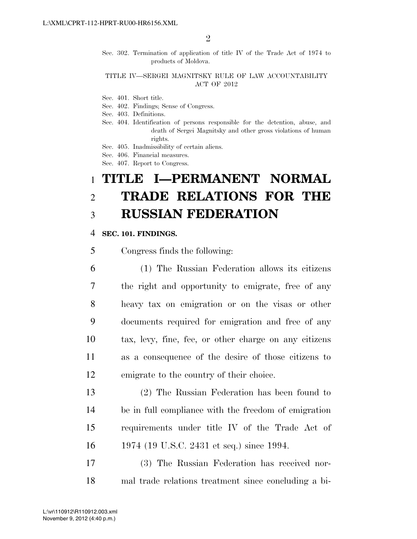Sec. 302. Termination of application of title IV of the Trade Act of 1974 to products of Moldova.

#### TITLE IV—SERGEI MAGNITSKY RULE OF LAW ACCOUNTABILITY ACT OF 2012

- Sec. 401. Short title.
- Sec. 402. Findings; Sense of Congress.

Sec. 403. Definitions.

Sec. 404. Identification of persons responsible for the detention, abuse, and death of Sergei Magnitsky and other gross violations of human rights.

Sec. 405. Inadmissibility of certain aliens.

Sec. 406. Financial measures.

Sec. 407. Report to Congress.

## 1 **TITLE I—PERMANENT NORMAL**  2 **TRADE RELATIONS FOR THE**  3 **RUSSIAN FEDERATION**

### 4 **SEC. 101. FINDINGS.**

5 Congress finds the following:

 (1) The Russian Federation allows its citizens the right and opportunity to emigrate, free of any heavy tax on emigration or on the visas or other documents required for emigration and free of any tax, levy, fine, fee, or other charge on any citizens as a consequence of the desire of those citizens to emigrate to the country of their choice.

 (2) The Russian Federation has been found to be in full compliance with the freedom of emigration requirements under title IV of the Trade Act of 1974 (19 U.S.C. 2431 et seq.) since 1994.

17 (3) The Russian Federation has received nor-18 mal trade relations treatment since concluding a bi-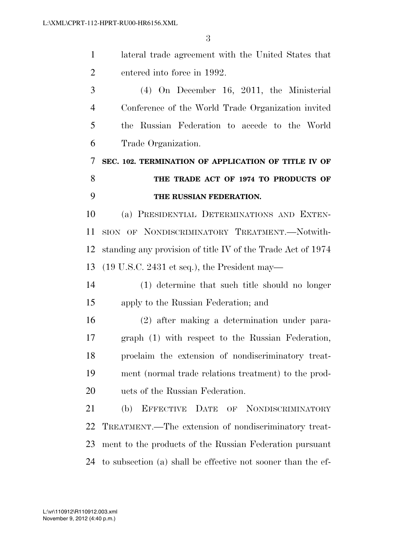| $\mathbf{1}$   | lateral trade agreement with the United States that             |
|----------------|-----------------------------------------------------------------|
| $\overline{2}$ | entered into force in 1992.                                     |
| 3              | $(4)$ On December 16, 2011, the Ministerial                     |
| $\overline{4}$ | Conference of the World Trade Organization invited              |
| 5              | the Russian Federation to accede to the World                   |
| 6              | Trade Organization.                                             |
| 7              | SEC. 102. TERMINATION OF APPLICATION OF TITLE IV OF             |
| 8              | THE TRADE ACT OF 1974 TO PRODUCTS OF                            |
| 9              | THE RUSSIAN FEDERATION.                                         |
| 10             | (a) PRESIDENTIAL DETERMINATIONS AND EXTEN-                      |
| 11             | SION OF NONDISCRIMINATORY TREATMENT.-Notwith-                   |
| 12             | standing any provision of title IV of the Trade Act of 1974     |
| 13             | $(19 \text{ U.S.C. } 2431 \text{ et seq.}),$ the President may— |
| 14             | (1) determine that such title should no longer                  |
| 15             | apply to the Russian Federation; and                            |
| 16             | (2) after making a determination under para-                    |
| 17             | graph (1) with respect to the Russian Federation,               |
| 18             | proclaim the extension of nondiscriminatory treat-              |
| 19             | ment (normal trade relations treatment) to the prod-            |
| 20             | ucts of the Russian Federation.                                 |
| 21             | EFFECTIVE DATE OF NONDISCRIMINATORY<br>(b)                      |
| 22             | TREATMENT.—The extension of nondiscriminatory treat-            |
| 23             | ment to the products of the Russian Federation pursuant         |
| 24             | to subsection (a) shall be effective not sooner than the ef-    |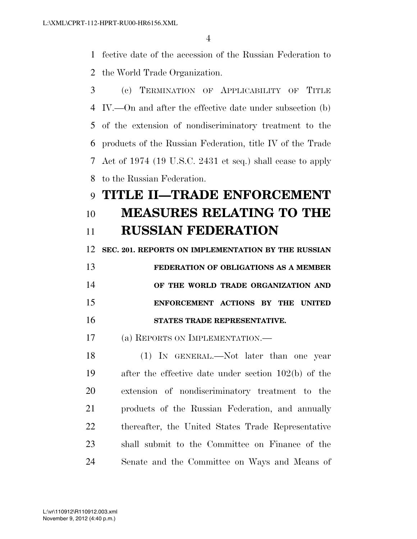fective date of the accession of the Russian Federation to the World Trade Organization.

 (c) TERMINATION OF APPLICABILITY OF TITLE IV.—On and after the effective date under subsection (b) of the extension of nondiscriminatory treatment to the products of the Russian Federation, title IV of the Trade Act of 1974 (19 U.S.C. 2431 et seq.) shall cease to apply to the Russian Federation.

## **TITLE II—TRADE ENFORCEMENT MEASURES RELATING TO THE RUSSIAN FEDERATION**

**SEC. 201. REPORTS ON IMPLEMENTATION BY THE RUSSIAN** 

 **FEDERATION OF OBLIGATIONS AS A MEMBER OF THE WORLD TRADE ORGANIZATION AND ENFORCEMENT ACTIONS BY THE UNITED STATES TRADE REPRESENTATIVE.** 

(a) REPORTS ON IMPLEMENTATION.—

 (1) IN GENERAL.—Not later than one year after the effective date under section 102(b) of the extension of nondiscriminatory treatment to the products of the Russian Federation, and annually thereafter, the United States Trade Representative shall submit to the Committee on Finance of the Senate and the Committee on Ways and Means of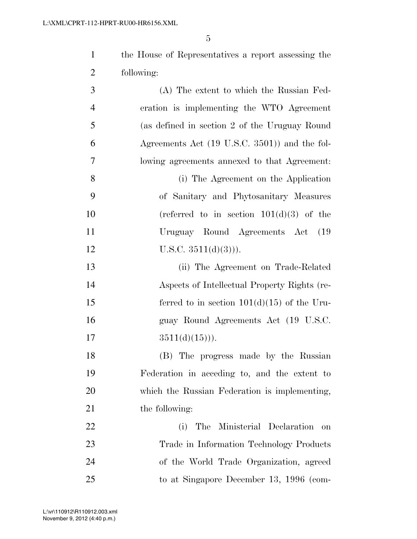| the House of Representatives a report assessing the |
|-----------------------------------------------------|
| following:                                          |

| 3              | (A) The extent to which the Russian Fed-                |
|----------------|---------------------------------------------------------|
| $\overline{4}$ | eration is implementing the WTO Agreement               |
| 5              | (as defined in section 2 of the Uruguay Round           |
| 6              | Agreements Act $(19 \text{ U.S.C. } 3501)$ and the fol- |
| 7              | lowing agreements annexed to that Agreement:            |
| 8              | (i) The Agreement on the Application                    |
| 9              | of Sanitary and Phytosanitary Measures                  |
| 10             | (referred to in section $101(d)(3)$ of the              |
| 11             | Uruguay Round Agreements Act (19)                       |
| 12             | U.S.C. $3511(d)(3)$ ).                                  |
| 13             | (ii) The Agreement on Trade-Related                     |
| 14             | Aspects of Intellectual Property Rights (re-            |
| 15             | ferred to in section $101(d)(15)$ of the Uru-           |
| 16             | guay Round Agreements Act (19 U.S.C.                    |
| 17             | $3511(d)(15))$ .                                        |
| 18             | (B) The progress made by the Russian                    |
| 19             | Federation in acceding to, and the extent to            |
| 20             | which the Russian Federation is implementing,           |
| 21             | the following:                                          |
| 22             | The Ministerial Declaration<br>(i)<br>on                |
| 23             | Trade in Information Technology Products                |
| 24             | of the World Trade Organization, agreed                 |
| $25\,$         | to at Singapore December 13, 1996 (com-                 |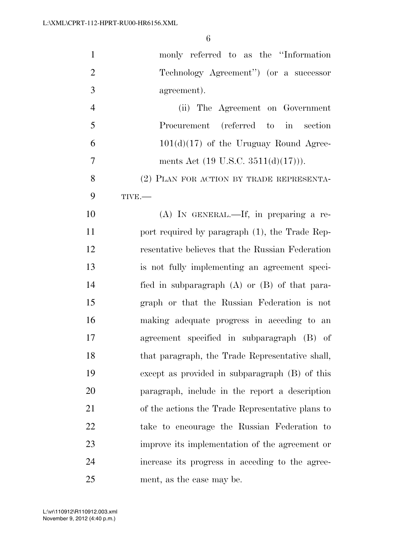| $\mathbf{1}$   | monly referred to as the "Information"            |
|----------------|---------------------------------------------------|
| $\overline{2}$ | Technology Agreement") (or a successor            |
| 3              | agreement).                                       |
| $\overline{4}$ | (ii) The Agreement on Government                  |
| 5              | Procurement (referred to in section               |
| 6              | $101(d)(17)$ of the Uruguay Round Agree-          |
| $\overline{7}$ | ments Act (19 U.S.C. 3511(d)(17))).               |
| 8              | (2) PLAN FOR ACTION BY TRADE REPRESENTA-          |
| 9              | TIVE.-                                            |
| 10             | (A) IN GENERAL.—If, in preparing a re-            |
| 11             | port required by paragraph (1), the Trade Rep-    |
| 12             | resentative believes that the Russian Federation  |
| 13             | is not fully implementing an agreement speci-     |
| 14             | fied in subparagraph $(A)$ or $(B)$ of that para- |
| 15             | graph or that the Russian Federation is not       |
| 16             | making adequate progress in acceding to an        |
| 17             | agreement specified in subparagraph (B) of        |
| 18             | that paragraph, the Trade Representative shall,   |
| 19             | except as provided in subparagraph $(B)$ of this  |
| 20             | paragraph, include in the report a description    |
| 21             | of the actions the Trade Representative plans to  |
| 22             | take to encourage the Russian Federation to       |
| 23             | improve its implementation of the agreement or    |
| 24             | increase its progress in acceding to the agree-   |
| 25             | ment, as the case may be.                         |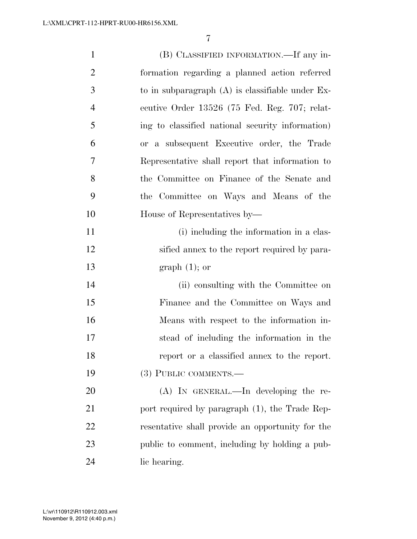(B) CLASSIFIED INFORMATION.—If any in- formation regarding a planned action referred to in subparagraph (A) is classifiable under Ex- ecutive Order 13526 (75 Fed. Reg. 707; relat- ing to classified national security information) or a subsequent Executive order, the Trade Representative shall report that information to the Committee on Finance of the Senate and the Committee on Ways and Means of the House of Representatives by— 11 (i) including the information in a clas-12 sified annex to the report required by para- graph (1); or (ii) consulting with the Committee on Finance and the Committee on Ways and Means with respect to the information in- stead of including the information in the report or a classified annex to the report. (3) PUBLIC COMMENTS.— (A) IN GENERAL.—In developing the re-21 port required by paragraph (1), the Trade Rep- resentative shall provide an opportunity for the public to comment, including by holding a pub-lic hearing.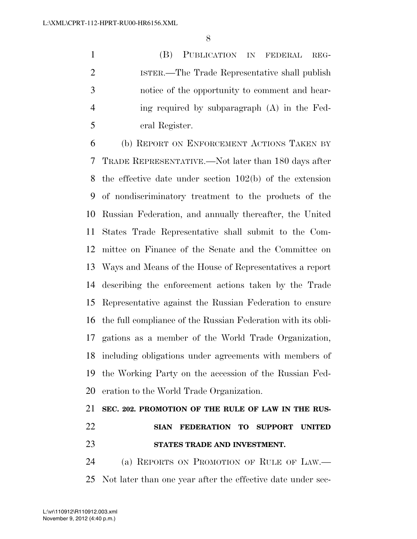(B) PUBLICATION IN FEDERAL REG- ISTER.—The Trade Representative shall publish notice of the opportunity to comment and hear- ing required by subparagraph (A) in the Fed-eral Register.

 (b) REPORT ON ENFORCEMENT ACTIONS TAKEN BY TRADE REPRESENTATIVE.—Not later than 180 days after the effective date under section 102(b) of the extension of nondiscriminatory treatment to the products of the Russian Federation, and annually thereafter, the United States Trade Representative shall submit to the Com- mittee on Finance of the Senate and the Committee on Ways and Means of the House of Representatives a report describing the enforcement actions taken by the Trade Representative against the Russian Federation to ensure the full compliance of the Russian Federation with its obli- gations as a member of the World Trade Organization, including obligations under agreements with members of the Working Party on the accession of the Russian Fed-eration to the World Trade Organization.

## **SEC. 202. PROMOTION OF THE RULE OF LAW IN THE RUS- SIAN FEDERATION TO SUPPORT UNITED STATES TRADE AND INVESTMENT.**

 (a) REPORTS ON PROMOTION OF RULE OF LAW.— Not later than one year after the effective date under sec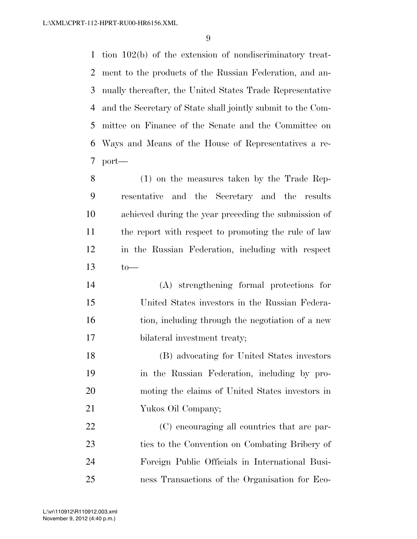tion 102(b) of the extension of nondiscriminatory treat- ment to the products of the Russian Federation, and an- nually thereafter, the United States Trade Representative and the Secretary of State shall jointly submit to the Com- mittee on Finance of the Senate and the Committee on Ways and Means of the House of Representatives a re-port—

 (1) on the measures taken by the Trade Rep- resentative and the Secretary and the results achieved during the year preceding the submission of 11 the report with respect to promoting the rule of law in the Russian Federation, including with respect to—

 (A) strengthening formal protections for United States investors in the Russian Federa-16 tion, including through the negotiation of a new bilateral investment treaty;

 (B) advocating for United States investors in the Russian Federation, including by pro- moting the claims of United States investors in Yukos Oil Company;

 (C) encouraging all countries that are par- ties to the Convention on Combating Bribery of Foreign Public Officials in International Busi-ness Transactions of the Organisation for Eco-

November 9, 2012 (4:40 p.m.) L:\vr\110912\R110912.003.xml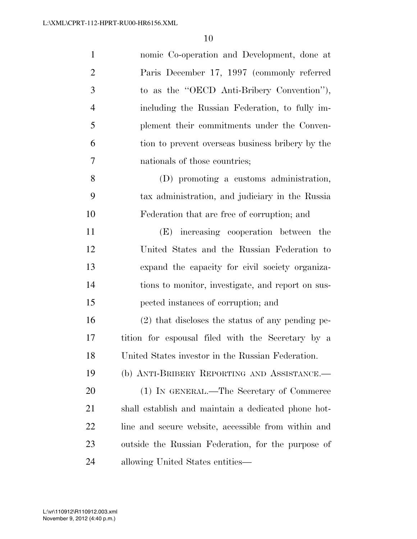| $\mathbf{1}$   | nomic Co-operation and Development, done at         |
|----------------|-----------------------------------------------------|
| $\overline{2}$ | Paris December 17, 1997 (commonly referred          |
| 3              | to as the "OECD Anti-Bribery Convention"),          |
| $\overline{4}$ | including the Russian Federation, to fully im-      |
| 5              | plement their commitments under the Conven-         |
| 6              | tion to prevent overseas business bribery by the    |
| 7              | nationals of those countries;                       |
| 8              | (D) promoting a customs administration,             |
| 9              | tax administration, and judiciary in the Russia     |
| 10             | Federation that are free of corruption; and         |
| 11             | (E) increasing cooperation between the              |
| 12             | United States and the Russian Federation to         |
| 13             | expand the capacity for civil society organiza-     |
| 14             | tions to monitor, investigate, and report on sus-   |
| 15             | pected instances of corruption; and                 |
| 16             | $(2)$ that discloses the status of any pending pe-  |
| 17             | tition for espousal filed with the Secretary by a   |
| 18             | United States investor in the Russian Federation.   |
| 19             | (b) ANTI-BRIBERY REPORTING AND ASSISTANCE.          |
| 20             | (1) IN GENERAL.—The Secretary of Commerce           |
| 21             | shall establish and maintain a dedicated phone hot- |
| 22             | line and secure website, accessible from within and |
| 23             | outside the Russian Federation, for the purpose of  |
| 24             | allowing United States entities—                    |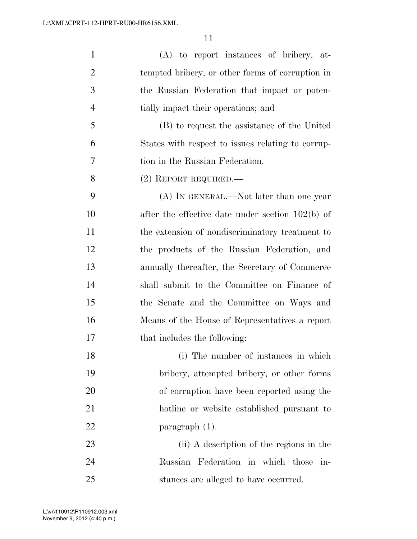| $\mathbf{1}$   | (A) to report instances of bribery, at-            |
|----------------|----------------------------------------------------|
| $\overline{2}$ | tempted bribery, or other forms of corruption in   |
| 3              | the Russian Federation that impact or poten-       |
| $\overline{4}$ | tially impact their operations; and                |
| 5              | (B) to request the assistance of the United        |
| 6              | States with respect to issues relating to corrup-  |
| 7              | tion in the Russian Federation.                    |
| 8              | $(2)$ REPORT REQUIRED.—                            |
| 9              | (A) IN GENERAL.—Not later than one year            |
| 10             | after the effective date under section $102(b)$ of |
| 11             | the extension of nondiscriminatory treatment to    |
| 12             | the products of the Russian Federation, and        |
| 13             | annually thereafter, the Secretary of Commerce     |
| 14             | shall submit to the Committee on Finance of        |
| 15             | the Senate and the Committee on Ways and           |
| 16             | Means of the House of Representatives a report     |
| 17             | that includes the following:                       |
| 18             | (i) The number of instances in which               |
| 19             | bribery, attempted bribery, or other forms         |
| 20             | of corruption have been reported using the         |
| 21             | hotline or website established pursuant to         |
| 22             | paragraph $(1)$ .                                  |
| 23             | (ii) A description of the regions in the           |
| 24             | Russian Federation in which<br>those<br>in-        |
| 25             | stances are alleged to have occurred.              |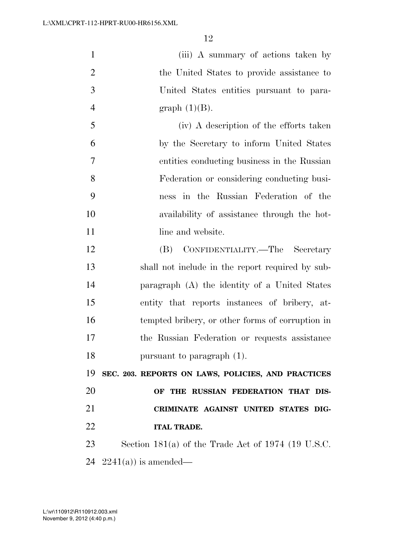| $\mathbf{1}$   | (iii) A summary of actions taken by                |
|----------------|----------------------------------------------------|
| $\overline{2}$ | the United States to provide assistance to         |
| 3              | United States entities pursuant to para-           |
| $\overline{4}$ | graph $(1)(B)$ .                                   |
| 5              | (iv) A description of the efforts taken            |
| 6              | by the Secretary to inform United States           |
| 7              | entities conducting business in the Russian        |
| 8              | Federation or considering conducting busi-         |
| 9              | ness in the Russian Federation of the              |
| 10             | availability of assistance through the hot-        |
| 11             | line and website.                                  |
| 12             | (B) CONFIDENTIALITY.—The Secretary                 |
| 13             | shall not include in the report required by sub-   |
| 14             | paragraph (A) the identity of a United States      |
| 15             | entity that reports instances of bribery, at-      |
| 16             | tempted bribery, or other forms of corruption in   |
| 17             | the Russian Federation or requests assistance      |
| 18             | pursuant to paragraph (1).                         |
| 19             | SEC. 203. REPORTS ON LAWS, POLICIES, AND PRACTICES |
| 20             | OF THE RUSSIAN FEDERATION THAT DIS-                |
| 21             | CRIMINATE AGAINST UNITED STATES DIG-               |
| 22             | <b>ITAL TRADE.</b>                                 |
| 23             | Section 181(a) of the Trade Act of 1974 (19 U.S.C. |
| 24             | $2241(a)$ is amended—                              |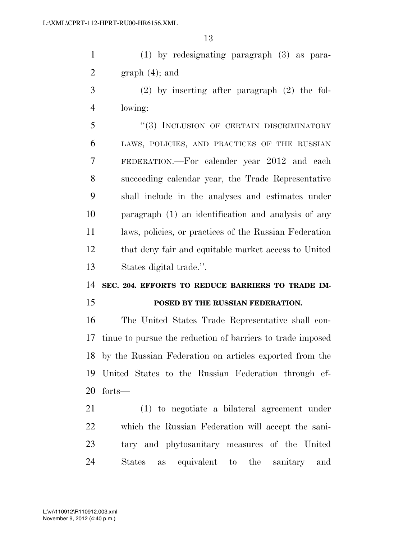(1) by redesignating paragraph (3) as para-2 graph  $(4)$ ; and

 (2) by inserting after paragraph (2) the fol-lowing:

5 "(3) INCLUSION OF CERTAIN DISCRIMINATORY LAWS, POLICIES, AND PRACTICES OF THE RUSSIAN FEDERATION.—For calender year 2012 and each succeeding calendar year, the Trade Representative shall include in the analyses and estimates under paragraph (1) an identification and analysis of any laws, policies, or practices of the Russian Federation that deny fair and equitable market access to United States digital trade.''.

## **SEC. 204. EFFORTS TO REDUCE BARRIERS TO TRADE IM-**

## **POSED BY THE RUSSIAN FEDERATION.**

 The United States Trade Representative shall con- tinue to pursue the reduction of barriers to trade imposed by the Russian Federation on articles exported from the United States to the Russian Federation through ef-forts—

 (1) to negotiate a bilateral agreement under which the Russian Federation will accept the sani- tary and phytosanitary measures of the United States as equivalent to the sanitary and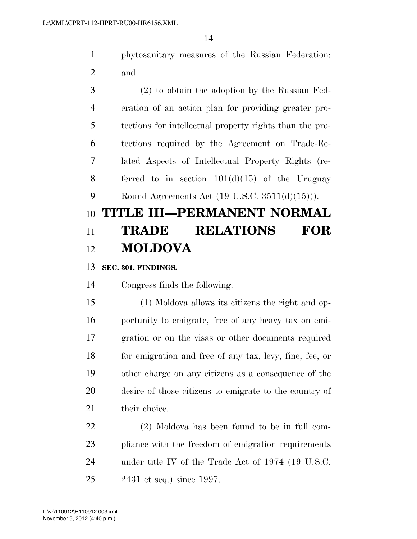phytosanitary measures of the Russian Federation; and

 (2) to obtain the adoption by the Russian Fed- eration of an action plan for providing greater pro- tections for intellectual property rights than the pro- tections required by the Agreement on Trade-Re- lated Aspects of Intellectual Property Rights (re-8 ferred to in section  $101(d)(15)$  of the Uruguay Round Agreements Act (19 U.S.C. 3511(d)(15))).

## **TITLE III—PERMANENT NORMAL TRADE RELATIONS FOR MOLDOVA**

**SEC. 301. FINDINGS.** 

Congress finds the following:

 (1) Moldova allows its citizens the right and op- portunity to emigrate, free of any heavy tax on emi- gration or on the visas or other documents required for emigration and free of any tax, levy, fine, fee, or other charge on any citizens as a consequence of the desire of those citizens to emigrate to the country of 21 their choice.

 (2) Moldova has been found to be in full com- pliance with the freedom of emigration requirements under title IV of the Trade Act of 1974 (19 U.S.C. 2431 et seq.) since 1997.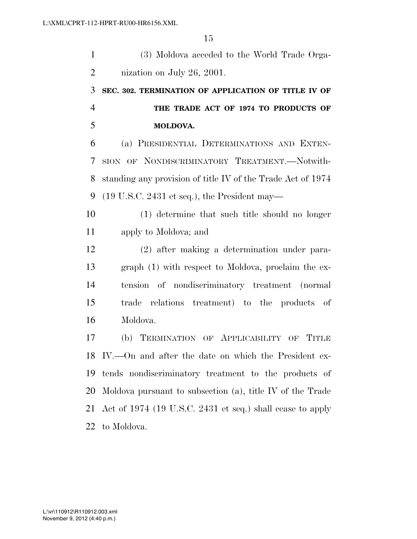| $\mathbf{1}$   | (3) Moldova acceded to the World Trade Orga-                    |
|----------------|-----------------------------------------------------------------|
| $\overline{2}$ | nization on July 26, 2001.                                      |
| 3              | SEC. 302. TERMINATION OF APPLICATION OF TITLE IV OF             |
| $\overline{4}$ | THE TRADE ACT OF 1974 TO PRODUCTS OF                            |
| 5              | MOLDOVA.                                                        |
| 6              | (a) PRESIDENTIAL DETERMINATIONS AND EXTEN-                      |
| 7              | SION OF NONDISCRIMINATORY TREATMENT.-Notwith-                   |
| 8              | standing any provision of title IV of the Trade Act of 1974     |
| 9              | $(19 \text{ U.S.C. } 2431 \text{ et seq.}),$ the President may— |
| 10             | (1) determine that such title should no longer                  |
| 11             | apply to Moldova; and                                           |
| 12             | (2) after making a determination under para-                    |
| 13             | graph (1) with respect to Moldova, proclaim the ex-             |
| 14             | tension of nondiscriminatory treatment (normal                  |
| 15             | trade relations treatment) to the products of                   |
| 16             | Moldova.                                                        |
| 17             | (b) TERMINATION OF APPLICABILITY OF TITLE                       |
|                | 18 IV.—On and after the date on which the President ex-         |
| 19             | tends nondiscriminatory treatment to the products of            |
| 20             | Moldova pursuant to subsection $(a)$ , title IV of the Trade    |
| 21             | Act of 1974 (19 U.S.C. 2431 et seq.) shall cease to apply       |
| 22             | to Moldova.                                                     |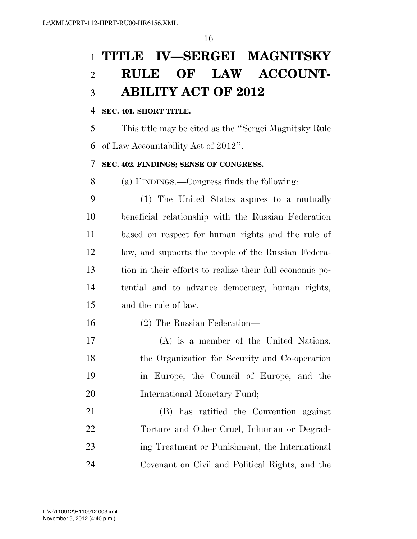# **TITLE IV—SERGEI MAGNITSKY RULE OF LAW ACCOUNT-ABILITY ACT OF 2012**

## **SEC. 401. SHORT TITLE.**

 This title may be cited as the ''Sergei Magnitsky Rule of Law Accountability Act of 2012''.

## **SEC. 402. FINDINGS; SENSE OF CONGRESS.**

(a) FINDINGS.—Congress finds the following:

 (1) The United States aspires to a mutually beneficial relationship with the Russian Federation based on respect for human rights and the rule of law, and supports the people of the Russian Federa- tion in their efforts to realize their full economic po- tential and to advance democracy, human rights, and the rule of law.

(2) The Russian Federation—

 (A) is a member of the United Nations, the Organization for Security and Co-operation in Europe, the Council of Europe, and the International Monetary Fund;

 (B) has ratified the Convention against Torture and Other Cruel, Inhuman or Degrad- ing Treatment or Punishment, the International Covenant on Civil and Political Rights, and the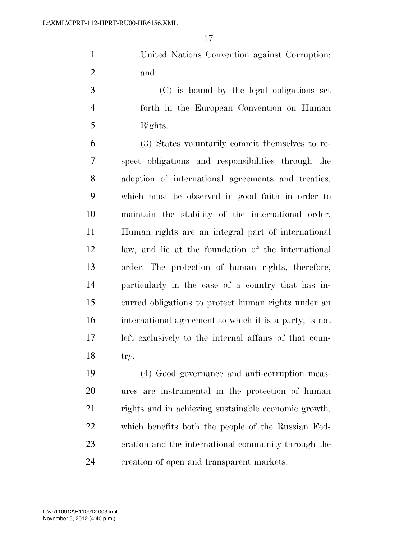United Nations Convention against Corruption; and

 (C) is bound by the legal obligations set forth in the European Convention on Human Rights.

 (3) States voluntarily commit themselves to re- spect obligations and responsibilities through the adoption of international agreements and treaties, which must be observed in good faith in order to maintain the stability of the international order. Human rights are an integral part of international law, and lie at the foundation of the international order. The protection of human rights, therefore, particularly in the case of a country that has in- curred obligations to protect human rights under an international agreement to which it is a party, is not left exclusively to the internal affairs of that coun-try.

 (4) Good governance and anti-corruption meas- ures are instrumental in the protection of human rights and in achieving sustainable economic growth, which benefits both the people of the Russian Fed- eration and the international community through the creation of open and transparent markets.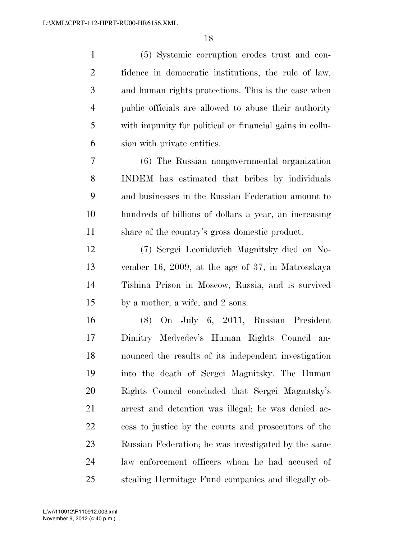| $\mathbf{1}$   | (5) Systemic corruption erodes trust and con-            |
|----------------|----------------------------------------------------------|
| $\mathbf{2}$   | fidence in democratic institutions, the rule of law,     |
| 3              | and human rights protections. This is the case when      |
| $\overline{4}$ | public officials are allowed to abuse their authority    |
| 5              | with impunity for political or financial gains in collu- |
| 6              | sion with private entities.                              |
| 7              | (6) The Russian nongovernmental organization             |
| 8              | INDEM has estimated that bribes by individuals           |
| 9              | and businesses in the Russian Federation amount to       |
| 10             | hundreds of billions of dollars a year, an increasing    |
| 11             | share of the country's gross domestic product.           |
| 12             | (7) Sergei Leonidovich Magnitsky died on No-             |
| 13             | vember 16, 2009, at the age of 37, in Matrosskaya        |
| 14             | Tishina Prison in Moscow, Russia, and is survived        |
| 15             | by a mother, a wife, and 2 sons.                         |
| 16             | (8) On July 6, 2011, Russian President                   |
| 17             | Dimitry Medvedev's Human Rights Council an-              |
| 18             | nounced the results of its independent investigation     |
| 19             | into the death of Sergei Magnitsky. The Human            |
| 20             | Rights Council concluded that Sergei Magnitsky's         |
| 21             | arrest and detention was illegal; he was denied ac-      |
| 22             | cess to justice by the courts and prosecutors of the     |
| 23             | Russian Federation; he was investigated by the same      |
| 24             | law enforcement officers whom he had accused of          |
| 25             | stealing Hermitage Fund companies and illegally ob-      |

November 9, 2012 (4:40 p.m.) L:\vr\110912\R110912.003.xml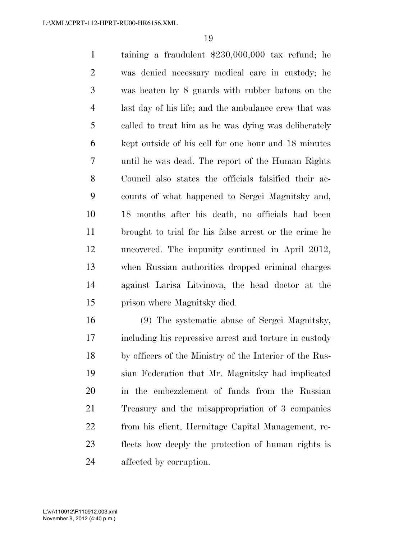taining a fraudulent \$230,000,000 tax refund; he was denied necessary medical care in custody; he was beaten by 8 guards with rubber batons on the last day of his life; and the ambulance crew that was called to treat him as he was dying was deliberately kept outside of his cell for one hour and 18 minutes until he was dead. The report of the Human Rights Council also states the officials falsified their ac- counts of what happened to Sergei Magnitsky and, 18 months after his death, no officials had been brought to trial for his false arrest or the crime he uncovered. The impunity continued in April 2012, when Russian authorities dropped criminal charges against Larisa Litvinova, the head doctor at the prison where Magnitsky died.

 (9) The systematic abuse of Sergei Magnitsky, including his repressive arrest and torture in custody by officers of the Ministry of the Interior of the Rus- sian Federation that Mr. Magnitsky had implicated in the embezzlement of funds from the Russian Treasury and the misappropriation of 3 companies from his client, Hermitage Capital Management, re- flects how deeply the protection of human rights is affected by corruption.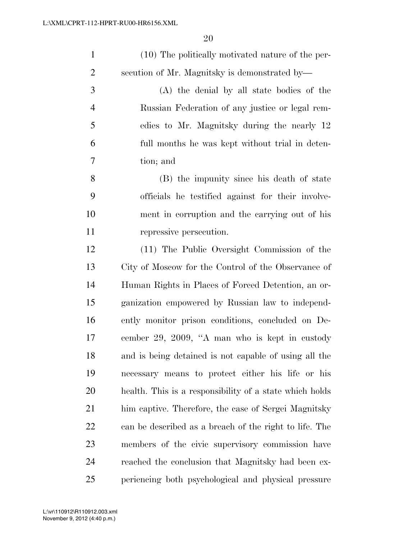| $\mathbf{1}$   | (10) The politically motivated nature of the per-       |
|----------------|---------------------------------------------------------|
| $\overline{2}$ | secution of Mr. Magnitsky is demonstrated by—           |
| 3              | (A) the denial by all state bodies of the               |
| $\overline{4}$ | Russian Federation of any justice or legal rem-         |
| 5              | edies to Mr. Magnitsky during the nearly 12             |
| 6              | full months he was kept without trial in deten-         |
| 7              | tion; and                                               |
| 8              | (B) the impunity since his death of state               |
| 9              | officials he testified against for their involve-       |
| 10             | ment in corruption and the carrying out of his          |
| 11             | repressive persecution.                                 |
| 12             | (11) The Public Oversight Commission of the             |
| 13             | City of Moscow for the Control of the Observance of     |
| 14             | Human Rights in Places of Forced Detention, an or-      |
| 15             | ganization empowered by Russian law to independ-        |
| 16             | ently monitor prison conditions, concluded on De-       |
| 17             | cember 29, 2009, "A man who is kept in custody          |
| 18             | and is being detained is not capable of using all the   |
| 19             | necessary means to protect either his life or his       |
| 20             | health. This is a responsibility of a state which holds |
| 21             | him captive. Therefore, the case of Sergei Magnitsky    |
| 22             | can be described as a breach of the right to life. The  |
| 23             | members of the civic supervisory commission have        |
| 24             | reached the conclusion that Magnitsky had been ex-      |
| 25             | periencing both psychological and physical pressure     |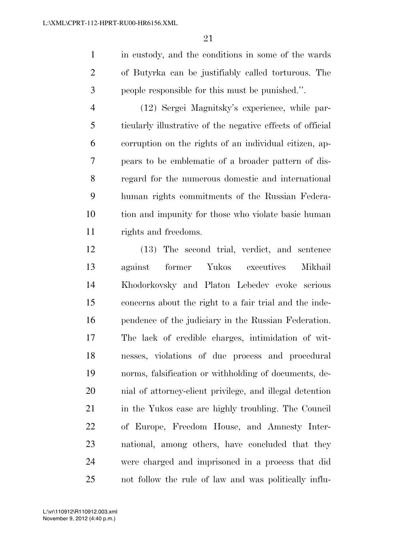in custody, and the conditions in some of the wards of Butyrka can be justifiably called torturous. The people responsible for this must be punished.''.

 (12) Sergei Magnitsky's experience, while par- ticularly illustrative of the negative effects of official corruption on the rights of an individual citizen, ap- pears to be emblematic of a broader pattern of dis- regard for the numerous domestic and international human rights commitments of the Russian Federa- tion and impunity for those who violate basic human rights and freedoms.

 (13) The second trial, verdict, and sentence against former Yukos executives Mikhail Khodorkovsky and Platon Lebedev evoke serious concerns about the right to a fair trial and the inde- pendence of the judiciary in the Russian Federation. The lack of credible charges, intimidation of wit- nesses, violations of due process and procedural norms, falsification or withholding of documents, de- nial of attorney-client privilege, and illegal detention 21 in the Yukos case are highly troubling. The Council of Europe, Freedom House, and Amnesty Inter- national, among others, have concluded that they were charged and imprisoned in a process that did not follow the rule of law and was politically influ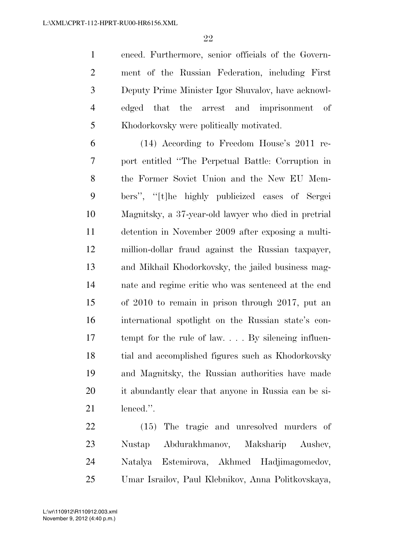enced. Furthermore, senior officials of the Govern- ment of the Russian Federation, including First Deputy Prime Minister Igor Shuvalov, have acknowl- edged that the arrest and imprisonment of Khodorkovsky were politically motivated.

 (14) According to Freedom House's 2011 re- port entitled ''The Perpetual Battle: Corruption in the Former Soviet Union and the New EU Mem- bers'', ''[t]he highly publicized cases of Sergei Magnitsky, a 37-year-old lawyer who died in pretrial detention in November 2009 after exposing a multi- million-dollar fraud against the Russian taxpayer, and Mikhail Khodorkovsky, the jailed business mag- nate and regime critic who was sentenced at the end of 2010 to remain in prison through 2017, put an international spotlight on the Russian state's con- tempt for the rule of law. . . . By silencing influen- tial and accomplished figures such as Khodorkovsky and Magnitsky, the Russian authorities have made it abundantly clear that anyone in Russia can be si-lenced.''.

 (15) The tragic and unresolved murders of Nustap Abdurakhmanov, Maksharip Aushev, Natalya Estemirova, Akhmed Hadjimagomedov, Umar Israilov, Paul Klebnikov, Anna Politkovskaya,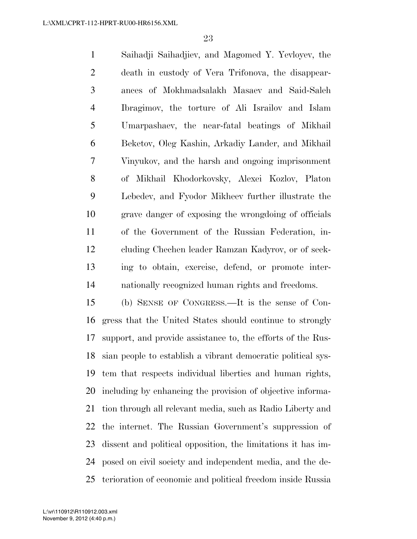Saihadji Saihadjiev, and Magomed Y. Yevloyev, the death in custody of Vera Trifonova, the disappear- ances of Mokhmadsalakh Masaev and Said-Saleh Ibragimov, the torture of Ali Israilov and Islam Umarpashaev, the near-fatal beatings of Mikhail Beketov, Oleg Kashin, Arkadiy Lander, and Mikhail Vinyukov, and the harsh and ongoing imprisonment of Mikhail Khodorkovsky, Alexei Kozlov, Platon Lebedev, and Fyodor Mikheev further illustrate the grave danger of exposing the wrongdoing of officials of the Government of the Russian Federation, in- cluding Chechen leader Ramzan Kadyrov, or of seek- ing to obtain, exercise, defend, or promote inter-nationally recognized human rights and freedoms.

 (b) SENSE OF CONGRESS.—It is the sense of Con- gress that the United States should continue to strongly support, and provide assistance to, the efforts of the Rus- sian people to establish a vibrant democratic political sys- tem that respects individual liberties and human rights, including by enhancing the provision of objective informa- tion through all relevant media, such as Radio Liberty and the internet. The Russian Government's suppression of dissent and political opposition, the limitations it has im- posed on civil society and independent media, and the de-terioration of economic and political freedom inside Russia

November 9, 2012 (4:40 p.m.) L:\vr\110912\R110912.003.xml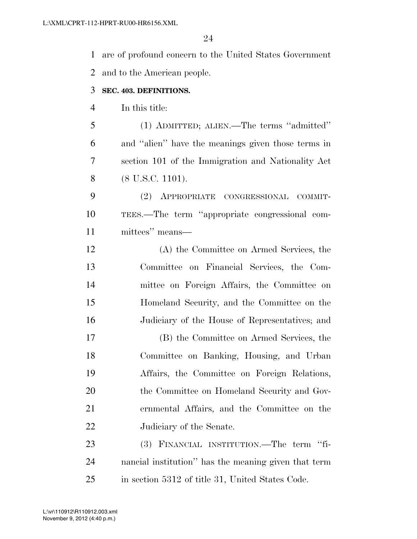are of profound concern to the United States Government and to the American people. **SEC. 403. DEFINITIONS.**  In this title: (1) ADMITTED; ALIEN.—The terms ''admitted'' and ''alien'' have the meanings given those terms in section 101 of the Immigration and Nationality Act (8 U.S.C. 1101). (2) APPROPRIATE CONGRESSIONAL COMMIT- TEES.—The term ''appropriate congressional com- mittees'' means— (A) the Committee on Armed Services, the Committee on Financial Services, the Com- mittee on Foreign Affairs, the Committee on Homeland Security, and the Committee on the Judiciary of the House of Representatives; and (B) the Committee on Armed Services, the Committee on Banking, Housing, and Urban Affairs, the Committee on Foreign Relations, 20 the Committee on Homeland Security and Gov- ernmental Affairs, and the Committee on the Judiciary of the Senate. (3) FINANCIAL INSTITUTION.—The term ''fi- nancial institution'' has the meaning given that term in section 5312 of title 31, United States Code.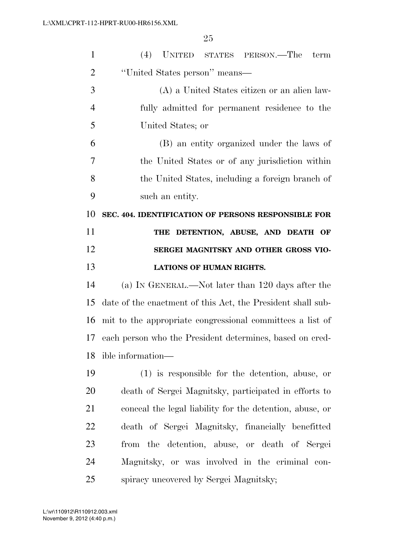| $\mathbf{1}$   | (4)<br>UNITED STATES PERSON.—The<br>term                    |
|----------------|-------------------------------------------------------------|
| $\overline{2}$ | "United States person" means—                               |
| 3              | (A) a United States citizen or an alien law-                |
| $\overline{4}$ | fully admitted for permanent residence to the               |
| 5              | United States; or                                           |
| 6              | (B) an entity organized under the laws of                   |
| 7              | the United States or of any jurisdiction within             |
| 8              | the United States, including a foreign branch of            |
| 9              | such an entity.                                             |
| 10             | SEC. 404. IDENTIFICATION OF PERSONS RESPONSIBLE FOR         |
| 11             | DETENTION, ABUSE, AND DEATH OF<br>THE                       |
| 12             | SERGEI MAGNITSKY AND OTHER GROSS VIO-                       |
| 13             | <b>LATIONS OF HUMAN RIGHTS.</b>                             |
| 14             | (a) IN GENERAL.—Not later than 120 days after the           |
| 15             | date of the enactment of this Act, the President shall sub- |
| 16             | mit to the appropriate congressional committees a list of   |
| 17             | each person who the President determines, based on cred-    |
| 18             | ible information—                                           |
| 19             | $(1)$ is responsible for the detention, abuse, or           |
| 20             | death of Sergei Magnitsky, participated in efforts to       |
| 21             | conceal the legal liability for the detention, abuse, or    |
| <u>22</u>      | death of Sergei Magnitsky, financially benefitted           |
| 23             | from the detention, abuse, or death of Sergei               |
| 24             | Magnitsky, or was involved in the criminal con-             |
| 25             |                                                             |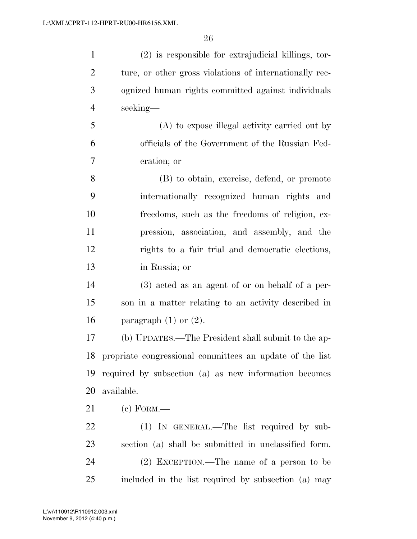(2) is responsible for extrajudicial killings, tor- ture, or other gross violations of internationally rec- ognized human rights committed against individuals seeking—

 (A) to expose illegal activity carried out by officials of the Government of the Russian Fed-eration; or

 (B) to obtain, exercise, defend, or promote internationally recognized human rights and freedoms, such as the freedoms of religion, ex- pression, association, and assembly, and the rights to a fair trial and democratic elections, in Russia; or

 (3) acted as an agent of or on behalf of a per- son in a matter relating to an activity described in 16 paragraph  $(1)$  or  $(2)$ .

 (b) UPDATES.—The President shall submit to the ap- propriate congressional committees an update of the list required by subsection (a) as new information becomes available.

(c) FORM.—

22 (1) IN GENERAL.—The list required by sub- section (a) shall be submitted in unclassified form. (2) EXCEPTION.—The name of a person to be included in the list required by subsection (a) may

November 9, 2012 (4:40 p.m.) L:\vr\110912\R110912.003.xml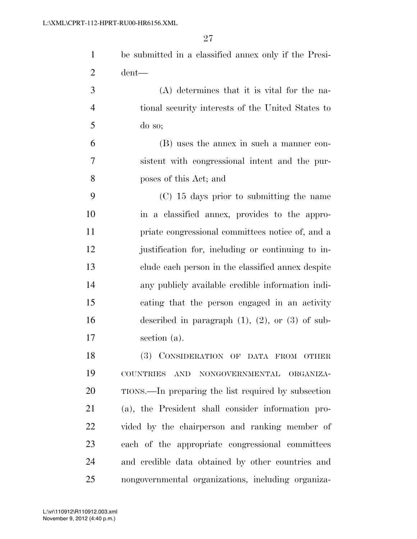| $\mathbf{1}$   | be submitted in a classified annex only if the Presi-   |
|----------------|---------------------------------------------------------|
| $\overline{2}$ | $d$ ent—                                                |
| 3              | $(A)$ determines that it is vital for the na-           |
| $\overline{4}$ | tional security interests of the United States to       |
| 5              | do so;                                                  |
| 6              | (B) uses the annex in such a manner con-                |
| 7              | sistent with congressional intent and the pur-          |
| 8              | poses of this Act; and                                  |
| 9              | $(C)$ 15 days prior to submitting the name              |
| 10             | in a classified annex, provides to the appro-           |
| 11             | priate congressional committees notice of, and a        |
| 12             | justification for, including or continuing to in-       |
| 13             | clude each person in the classified annex despite       |
| 14             | any publicly available credible information indi-       |
| 15             | cating that the person engaged in an activity           |
| 16             | described in paragraph $(1)$ , $(2)$ , or $(3)$ of sub- |
| 17             | section (a).                                            |
| 18             | (3) CONSIDERATION OF DATA FROM OTHER                    |
| 19             | COUNTRIES AND<br>NONGOVERNMENTAL ORGANIZA-              |
| 20             | TIONS.—In preparing the list required by subsection     |
| 21             | (a), the President shall consider information pro-      |
| 22             | vided by the chairperson and ranking member of          |
| 23             | each of the appropriate congressional committees        |
| 24             | and credible data obtained by other countries and       |
| 25             | nongovernmental organizations, including organiza-      |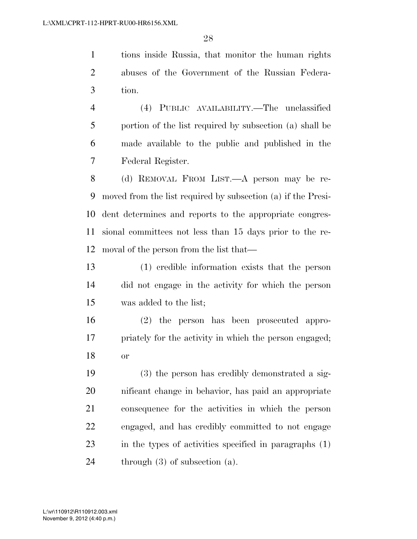tions inside Russia, that monitor the human rights abuses of the Government of the Russian Federa-tion.

 (4) PUBLIC AVAILABILITY.—The unclassified portion of the list required by subsection (a) shall be made available to the public and published in the Federal Register.

 (d) REMOVAL FROM LIST.—A person may be re- moved from the list required by subsection (a) if the Presi- dent determines and reports to the appropriate congres- sional committees not less than 15 days prior to the re-moval of the person from the list that—

 (1) credible information exists that the person did not engage in the activity for which the person was added to the list;

 (2) the person has been prosecuted appro- priately for the activity in which the person engaged; or

 (3) the person has credibly demonstrated a sig- nificant change in behavior, has paid an appropriate consequence for the activities in which the person engaged, and has credibly committed to not engage in the types of activities specified in paragraphs (1) through (3) of subsection (a).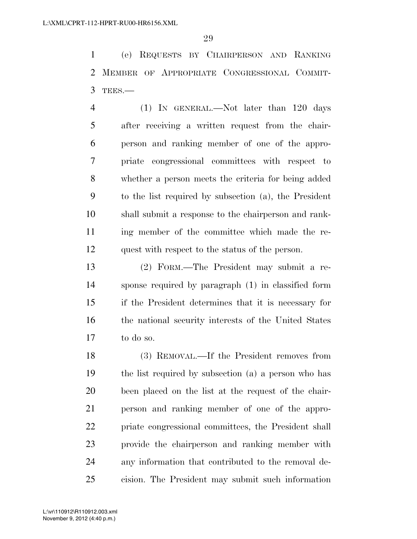(e) REQUESTS BY CHAIRPERSON AND RANKING MEMBER OF APPROPRIATE CONGRESSIONAL COMMIT-TEES.—

 (1) IN GENERAL.—Not later than 120 days after receiving a written request from the chair- person and ranking member of one of the appro- priate congressional committees with respect to whether a person meets the criteria for being added to the list required by subsection (a), the President shall submit a response to the chairperson and rank- ing member of the committee which made the re-quest with respect to the status of the person.

 (2) FORM.—The President may submit a re- sponse required by paragraph (1) in classified form if the President determines that it is necessary for the national security interests of the United States to do so.

 (3) REMOVAL.—If the President removes from the list required by subsection (a) a person who has been placed on the list at the request of the chair- person and ranking member of one of the appro- priate congressional committees, the President shall provide the chairperson and ranking member with any information that contributed to the removal de-cision. The President may submit such information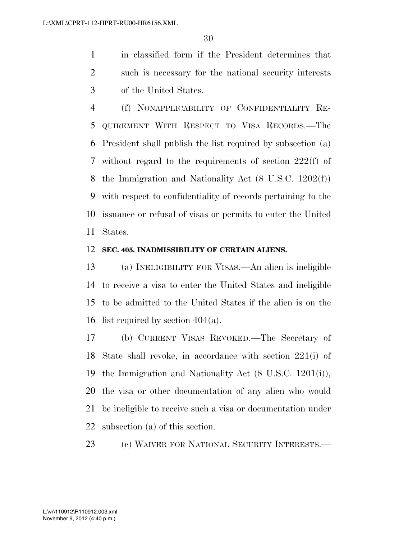in classified form if the President determines that such is necessary for the national security interests of the United States.

 (f) NONAPPLICABILITY OF CONFIDENTIALITY RE- QUIREMENT WITH RESPECT TO VISA RECORDS.—The President shall publish the list required by subsection (a) without regard to the requirements of section 222(f) of the Immigration and Nationality Act (8 U.S.C. 1202(f)) with respect to confidentiality of records pertaining to the issuance or refusal of visas or permits to enter the United States.

### **SEC. 405. INADMISSIBILITY OF CERTAIN ALIENS.**

 (a) INELIGIBILITY FOR VISAS.—An alien is ineligible to receive a visa to enter the United States and ineligible to be admitted to the United States if the alien is on the 16 list required by section  $404(a)$ .

 (b) CURRENT VISAS REVOKED.—The Secretary of State shall revoke, in accordance with section 221(i) of the Immigration and Nationality Act (8 U.S.C. 1201(i)), the visa or other documentation of any alien who would be ineligible to receive such a visa or documentation under subsection (a) of this section.

(c) WAIVER FOR NATIONAL SECURITY INTERESTS.—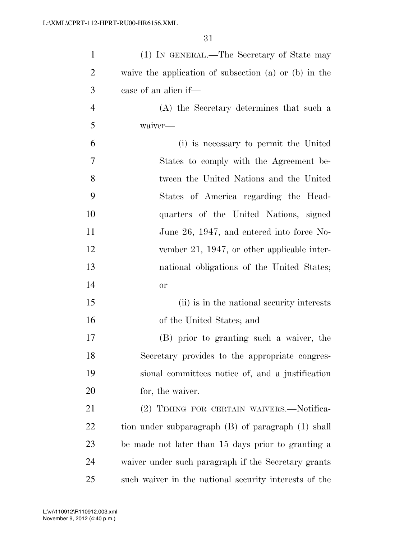| $\mathbf{1}$   | (1) IN GENERAL.—The Secretary of State may                |
|----------------|-----------------------------------------------------------|
| $\overline{2}$ | waive the application of subsection $(a)$ or $(b)$ in the |
| 3              | case of an alien if—                                      |
| 4              | (A) the Secretary determines that such a                  |
| 5              | waiver—                                                   |
| 6              | (i) is necessary to permit the United                     |
| $\overline{7}$ | States to comply with the Agreement be-                   |
| 8              | tween the United Nations and the United                   |
| 9              | States of America regarding the Head-                     |
| 10             | quarters of the United Nations, signed                    |
| 11             | June 26, 1947, and entered into force No-                 |
| 12             | vember 21, 1947, or other applicable inter-               |
| 13             | national obligations of the United States;                |
| 14             | <b>or</b>                                                 |
| 15             | (ii) is in the national security interests                |
| 16             | of the United States; and                                 |
| 17             | (B) prior to granting such a waiver, the                  |
| 18             | Secretary provides to the appropriate congres-            |
| 19             | sional committees notice of, and a justification          |
| 20             | for, the waiver.                                          |
| 21             | (2) TIMING FOR CERTAIN WAIVERS.—Notifica-                 |
| 22             | tion under subparagraph (B) of paragraph (1) shall        |
| 23             | be made not later than 15 days prior to granting a        |
| 24             | waiver under such paragraph if the Secretary grants       |
| 25             | such waiver in the national security interests of the     |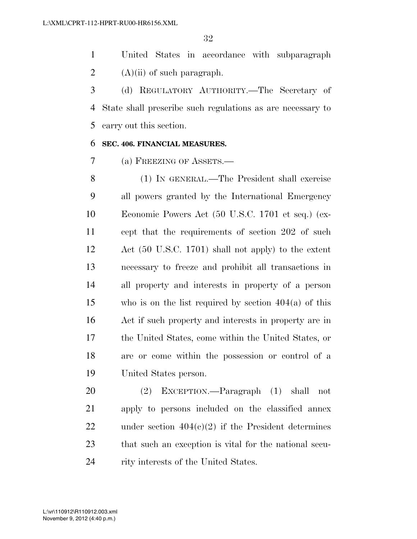United States in accordance with subparagraph 2  $(A)(ii)$  of such paragraph.

 (d) REGULATORY AUTHORITY.—The Secretary of State shall prescribe such regulations as are necessary to carry out this section.

### **SEC. 406. FINANCIAL MEASURES.**

(a) FREEZING OF ASSETS.—

 (1) IN GENERAL.—The President shall exercise all powers granted by the International Emergency Economic Powers Act (50 U.S.C. 1701 et seq.) (ex- cept that the requirements of section 202 of such Act (50 U.S.C. 1701) shall not apply) to the extent necessary to freeze and prohibit all transactions in all property and interests in property of a person who is on the list required by section 404(a) of this Act if such property and interests in property are in the United States, come within the United States, or are or come within the possession or control of a United States person.

 (2) EXCEPTION.—Paragraph (1) shall not apply to persons included on the classified annex 22 under section  $404(c)(2)$  if the President determines that such an exception is vital for the national secu-24 rity interests of the United States.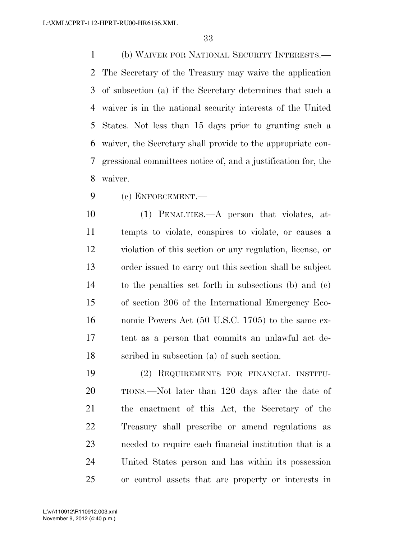(b) WAIVER FOR NATIONAL SECURITY INTERESTS.— The Secretary of the Treasury may waive the application of subsection (a) if the Secretary determines that such a waiver is in the national security interests of the United States. Not less than 15 days prior to granting such a waiver, the Secretary shall provide to the appropriate con- gressional committees notice of, and a justification for, the waiver.

(c) ENFORCEMENT.—

 (1) PENALTIES.—A person that violates, at- tempts to violate, conspires to violate, or causes a violation of this section or any regulation, license, or order issued to carry out this section shall be subject to the penalties set forth in subsections (b) and (c) of section 206 of the International Emergency Eco- nomic Powers Act (50 U.S.C. 1705) to the same ex- tent as a person that commits an unlawful act de-scribed in subsection (a) of such section.

 (2) REQUIREMENTS FOR FINANCIAL INSTITU- TIONS.—Not later than 120 days after the date of the enactment of this Act, the Secretary of the Treasury shall prescribe or amend regulations as needed to require each financial institution that is a United States person and has within its possession or control assets that are property or interests in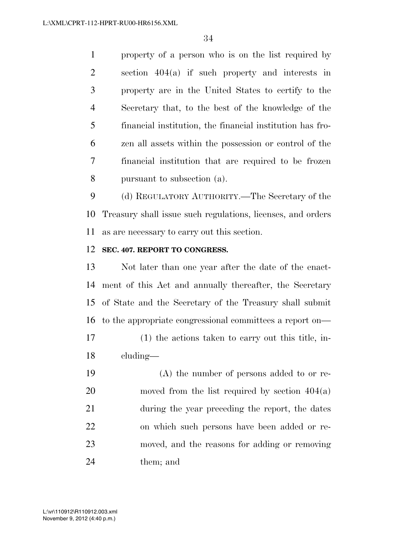property of a person who is on the list required by section 404(a) if such property and interests in property are in the United States to certify to the Secretary that, to the best of the knowledge of the financial institution, the financial institution has fro- zen all assets within the possession or control of the financial institution that are required to be frozen pursuant to subsection (a).

 (d) REGULATORY AUTHORITY.—The Secretary of the Treasury shall issue such regulations, licenses, and orders as are necessary to carry out this section.

### **SEC. 407. REPORT TO CONGRESS.**

 Not later than one year after the date of the enact- ment of this Act and annually thereafter, the Secretary of State and the Secretary of the Treasury shall submit to the appropriate congressional committees a report on—

 (1) the actions taken to carry out this title, in-cluding—

 (A) the number of persons added to or re- moved from the list required by section 404(a) during the year preceding the report, the dates on which such persons have been added or re- moved, and the reasons for adding or removing them; and